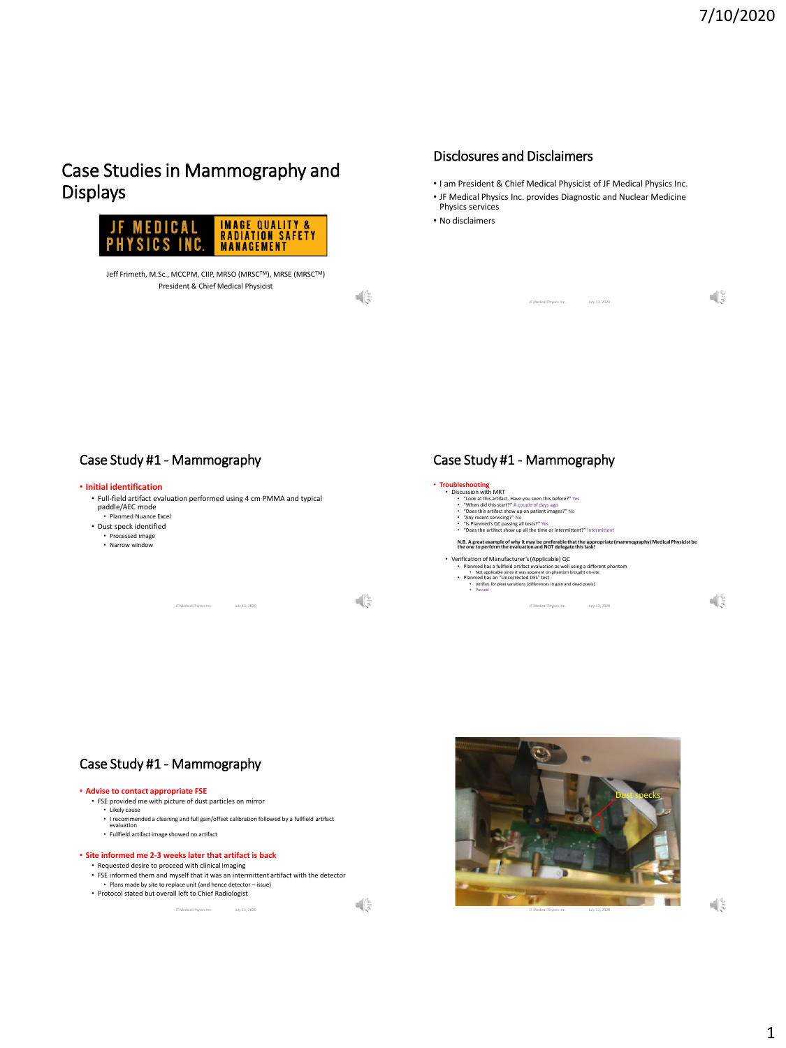$\sqrt{s}$ 

# Case Studies in Mammography and Displays



Jeff Frimeth, M.Sc., MCCPM, CIIP, MRSO (MRSC™), MRSE (MRSC™) President & Chief Medical Physicist

 $\mathbb{R}^2$ 

# Disclosures and Disclaimers

- I am President & Chief Medical Physicist of JF Medical Physics Inc.
- JF Medical Physics Inc. provides Diagnostic and Nuclear Medicine Physics services

JF Medical Physics Inc. July 13, 2020

• No disclaimers



# Case Study #1 - Mammography

### • **Advise to contact appropriate FSE**

- FSE provided me with picture of dust particles on mirror
	- Likely cause
	- I recommended a cleaning and full gain/offset calibration followed by a fullfield artifact evaluation
	- Fullfield artifact image showed no artifact

### • **Site informed me 2-3 weeks later that artifact is back**

- Requested desire to proceed with clinical imaging
- FSE informed them and myself that it was an intermittent artifact with the detector Plans made by site to replace unit (and hence detector issue)
- Protocol stated but overall left to Chief Radiologist



 $\left\| \cdot \right\|_{\infty}^{\infty}$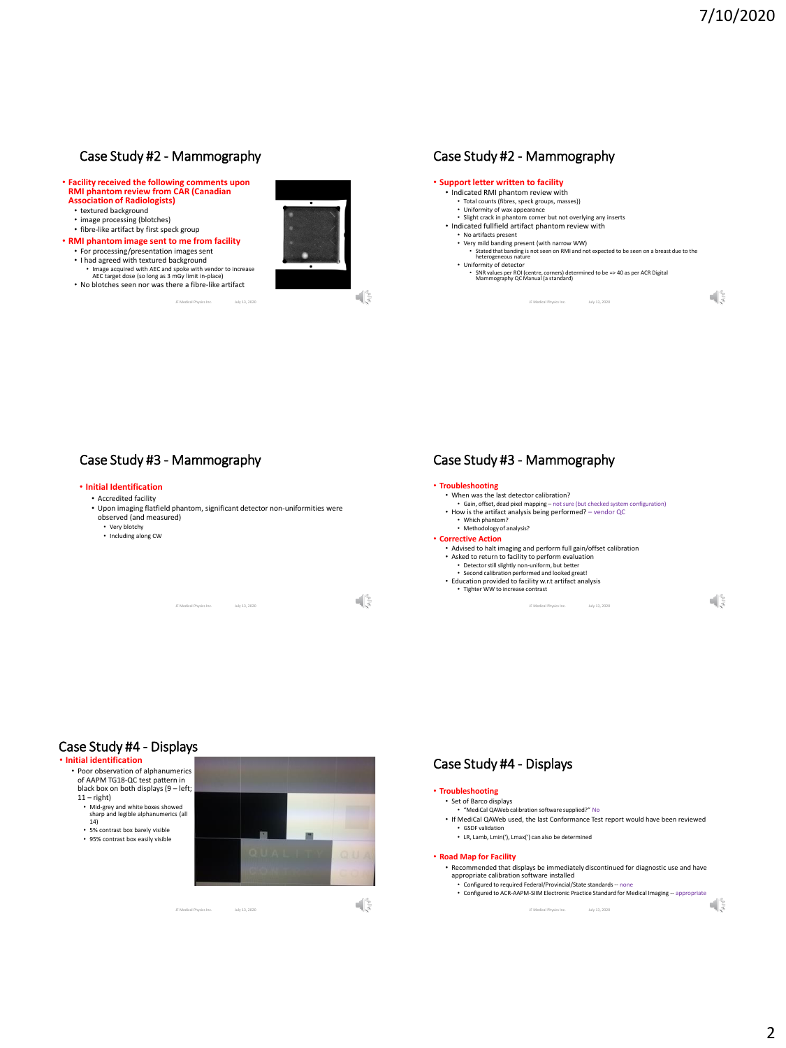## Case Study #2 - Mammography

- **Facility received the following comments upon RMI phantom review from CAR (Canadian Association of Radiologists)**
	- textured background
	- image processing (blotches)
	- fibre-like artifact by first speck group
- **RMI phantom image sent to me from facility** • For processing/presentation images sent
	- I had agreed with textured background Image acquired with AEC and spoke with vendor to increase AEC target dose (so long as 3 mGy limit in-place)
	- No blotches seen nor was there a fibre-like artifact

July 13, 2020





## Case Study #3 - Mammography

### • **Initial Identification**

- Accredited facility
- Upon imaging flatfield phantom, significant detector non-uniformities were observed (and measured)

JF Medical Physics Inc. July 13, 2020

- Very blotchy
- Including along CW

 $\sqrt{\frac{2}{5}}$ 

### Case Study #3 - Mammography



### Case Study #4 - Displays

#### • **Initial identification**

• Poor observation of alphanumerics of AAPM TG18-QC test pattern in black box on both displays (9 – left;  $11 -$ right) • Mid-grey and white boxes showed sharp and legible alphanumerics (all 14) • 5% contrast box barely visible • 95% contrast box easily visible

JF Medical Physics Inc. July 13, 2020





# Case Study #4 - Displays

#### • **Troubleshooting** • Set of Barco displays

- "MediCal QAWeb calibration software supplied?" No
- If MediCal QAWeb used, the last Conformance Test report would have been reviewed • GSDF validation
- LR, Lamb, Lmin('), Lmax(') can also be determined

#### • **Road Map for Facility**

• Recommended that displays be immediately discontinued for diagnostic use and have appropriate calibration software installed • Configured to required Federal/Provincial/State standards -- none

JF Medical Physics Inc. July 13, 2020

• Configured to ACR-AAPM-SIIM Electronic Practice Standard for Medical Imaging -- appropriate<br> $\frac{1}{2}$ 

 $\mathbb{R}^3$